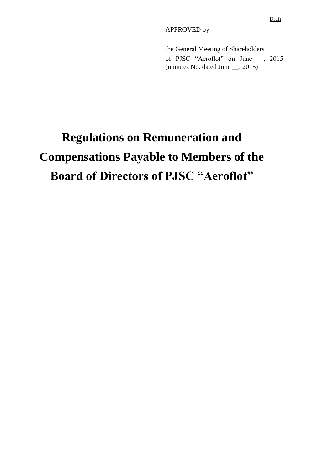APPROVED by

the General Meeting of Shareholders of PJSC "Aeroflot" on June \_\_, 2015 (minutes No. dated June \_\_, 2015)

# **Regulations on Remuneration and Compensations Payable to Members of the Board of Directors of PJSC "Aeroflot"**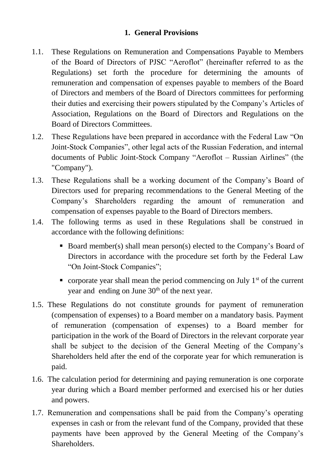## **1. General Provisions**

- 1.1. These Regulations on Remuneration and Compensations Payable to Members of the Board of Directors of PJSC "Aeroflot" (hereinafter referred to as the Regulations) set forth the procedure for determining the amounts of remuneration and compensation of expenses payable to members of the Board of Directors and members of the Board of Directors committees for performing their duties and exercising their powers stipulated by the Company's Articles of Association, Regulations on the Board of Directors and Regulations on the Board of Directors Committees.
- 1.2. These Regulations have been prepared in accordance with the Federal Law "On Joint-Stock Companies", other legal acts of the Russian Federation, and internal documents of Public Joint-Stock Company "Aeroflot – Russian Airlines" (the "Company").
- 1.3. These Regulations shall be a working document of the Company's Board of Directors used for preparing recommendations to the General Meeting of the Company's Shareholders regarding the amount of remuneration and compensation of expenses payable to the Board of Directors members.
- 1.4. The following terms as used in these Regulations shall be construed in accordance with the following definitions:
	- Board member(s) shall mean person(s) elected to the Company's Board of Directors in accordance with the procedure set forth by the Federal Law "On Joint-Stock Companies";
	- corporate year shall mean the period commencing on July  $1<sup>st</sup>$  of the current year and ending on June 30<sup>th</sup> of the next year.
- 1.5. These Regulations do not constitute grounds for payment of remuneration (compensation of expenses) to a Board member on a mandatory basis. Payment of remuneration (compensation of expenses) to a Board member for participation in the work of the Board of Directors in the relevant corporate year shall be subject to the decision of the General Meeting of the Company's Shareholders held after the end of the corporate year for which remuneration is paid.
- 1.6. The calculation period for determining and paying remuneration is one corporate year during which a Board member performed and exercised his or her duties and powers.
- 1.7. Remuneration and compensations shall be paid from the Company's operating expenses in cash or from the relevant fund of the Company, provided that these payments have been approved by the General Meeting of the Company's Shareholders.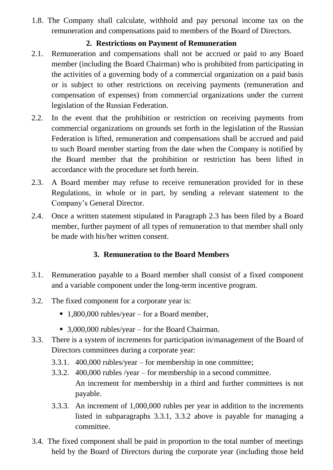1.8. The Company shall calculate, withhold and pay personal income tax on the remuneration and compensations paid to members of the Board of Directors.

## **2. Restrictions on Payment of Remuneration**

- 2.1. Remuneration and compensations shall not be accrued or paid to any Board member (including the Board Chairman) who is prohibited from participating in the activities of a governing body of a commercial organization on a paid basis or is subject to other restrictions on receiving payments (remuneration and compensation of expenses) from commercial organizations under the current legislation of the Russian Federation.
- 2.2. In the event that the prohibition or restriction on receiving payments from commercial organizations on grounds set forth in the legislation of the Russian Federation is lifted, remuneration and compensations shall be accrued and paid to such Board member starting from the date when the Company is notified by the Board member that the prohibition or restriction has been lifted in accordance with the procedure set forth herein.
- 2.3. A Board member may refuse to receive remuneration provided for in these Regulations, in whole or in part, by sending a relevant statement to the Company's General Director.
- 2.4. Once a written statement stipulated in Paragraph 2.3 has been filed by a Board member, further payment of all types of remuneration to that member shall only be made with his/her written consent.

# **3. Remuneration to the Board Members**

- 3.1. Remuneration payable to a Board member shall consist of a fixed component and a variable component under the long-term incentive program.
- 3.2. The fixed component for a corporate year is:
	- 1,800,000 rubles/year for a Board member*,*
	- 3,000,000 rubles/year for the Board Chairman.
- 3.3. There is a system of increments for participation in/management of the Board of Directors committees during a corporate year:
	- 3.3.1. 400,000 rubles/year for membership in one committee;
	- 3.3.2. 400,000 rubles /year for membership in a second committee. An increment for membership in a third and further committees is not payable.
	- 3.3.3. An increment of 1,000,000 rubles per year in addition to the increments listed in subparagraphs 3.3.1, 3.3.2 above is payable for managing a committee.
- 3.4. The fixed component shall be paid in proportion to the total number of meetings held by the Board of Directors during the corporate year (including those held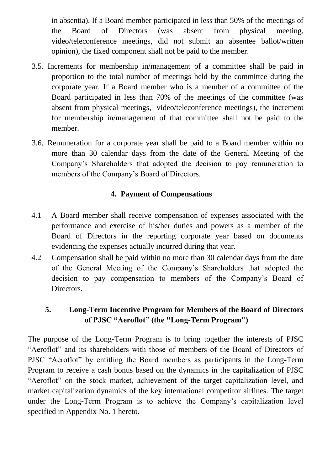in absentia). If a Board member participated in less than 50% of the meetings of the Board of Directors (was absent from physical meeting, video/teleconference meetings, did not submit an absentee ballot/written opinion), the fixed component shall not be paid to the member.

- 3.5. Increments for membership in/management of a committee shall be paid in proportion to the total number of meetings held by the committee during the corporate year. If a Board member who is a member of a committee of the Board participated in less than 70% of the meetings of the committee (was absent from physical meetings, video/teleconference meetings), the increment for membership in/management of that committee shall not be paid to the member.
- 3.6. Remuneration for a corporate year shall be paid to a Board member within no more than 30 calendar days from the date of the General Meeting of the Company's Shareholders that adopted the decision to pay remuneration to members of the Company's Board of Directors.

# **4. Payment of Compensations**

- 4.1 A Board member shall receive compensation of expenses associated with the performance and exercise of his/her duties and powers as a member of the Board of Directors in the reporting corporate year based on documents evidencing the expenses actually incurred during that year.
- 4.2 Compensation shall be paid within no more than 30 calendar days from the date of the General Meeting of the Company's Shareholders that adopted the decision to pay compensation to members of the Company's Board of Directors.

# **5. Long-Term Incentive Program for Members of the Board of Directors of PJSC "Aeroflot" (the "Long-Term Program")**

The purpose of the Long-Term Program is to bring together the interests of PJSC "Aeroflot" and its shareholders with those of members of the Board of Directors of PJSC "Aeroflot" by entitling the Board members as participants in the Long-Term Program to receive a cash bonus based on the dynamics in the capitalization of PJSC "Aeroflot" on the stock market, achievement of the target capitalization level, and market capitalization dynamics of the key international competitor airlines. The target under the Long-Term Program is to achieve the Company's capitalization level specified in Appendix No. 1 hereto.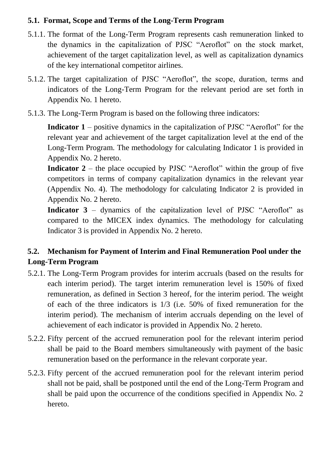## **5.1. Format, Scope and Terms of the Long-Term Program**

- 5.1.1. The format of the Long-Term Program represents cash remuneration linked to the dynamics in the capitalization of PJSC "Aeroflot" on the stock market, achievement of the target capitalization level, as well as capitalization dynamics of the key international competitor airlines.
- 5.1.2. The target capitalization of PJSC "Aeroflot", the scope, duration, terms and indicators of the Long-Term Program for the relevant period are set forth in Appendix No. 1 hereto.
- 5.1.3. The Long-Term Program is based on the following three indicators:

**Indicator 1** – positive dynamics in the capitalization of PJSC "Aeroflot" for the relevant year and achievement of the target capitalization level at the end of the Long-Term Program. The methodology for calculating Indicator 1 is provided in Appendix No. 2 hereto.

**Indicator** 2 – the place occupied by PJSC "Aeroflot" within the group of five competitors in terms of company capitalization dynamics in the relevant year (Appendix No. 4). The methodology for calculating Indicator 2 is provided in Appendix No. 2 hereto.

**Indicator 3** – dynamics of the capitalization level of PJSC "Aeroflot" as compared to the MICEX index dynamics. The methodology for calculating Indicator 3 is provided in Appendix No. 2 hereto.

# **5.2. Mechanism for Payment of Interim and Final Remuneration Pool under the Long-Term Program**

- 5.2.1. The Long-Term Program provides for interim accruals (based on the results for each interim period). The target interim remuneration level is 150% of fixed remuneration, as defined in Section 3 hereof, for the interim period. The weight of each of the three indicators is 1/3 (i.e. 50% of fixed remuneration for the interim period). The mechanism of interim accruals depending on the level of achievement of each indicator is provided in Appendix No. 2 hereto.
- 5.2.2. Fifty percent of the accrued remuneration pool for the relevant interim period shall be paid to the Board members simultaneously with payment of the basic remuneration based on the performance in the relevant corporate year.
- 5.2.3. Fifty percent of the accrued remuneration pool for the relevant interim period shall not be paid, shall be postponed until the end of the Long-Term Program and shall be paid upon the occurrence of the conditions specified in Appendix No. 2 hereto.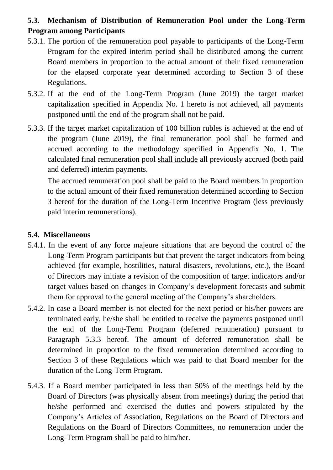# **5.3. Mechanism of Distribution of Remuneration Pool under the Long-Term Program among Participants**

- 5.3.1. The portion of the remuneration pool payable to participants of the Long-Term Program for the expired interim period shall be distributed among the current Board members in proportion to the actual amount of their fixed remuneration for the elapsed corporate year determined according to Section 3 of these Regulations.
- 5.3.2. If at the end of the Long-Term Program (June 2019) the target market capitalization specified in Appendix No. 1 hereto is not achieved, all payments postponed until the end of the program shall not be paid.
- 5.3.3. If the target market capitalization of 100 billion rubles is achieved at the end of the program (June 2019), the final remuneration pool shall be formed and accrued according to the methodology specified in Appendix No. 1. The calculated final remuneration pool shall include all previously accrued (both paid and deferred) interim payments.

The accrued remuneration pool shall be paid to the Board members in proportion to the actual amount of their fixed remuneration determined according to Section 3 hereof for the duration of the Long-Term Incentive Program (less previously paid interim remunerations).

#### **5.4. Miscellaneous**

- 5.4.1. In the event of any force majeure situations that are beyond the control of the Long-Term Program participants but that prevent the target indicators from being achieved (for example, hostilities, natural disasters, revolutions, etc.), the Board of Directors may initiate a revision of the composition of target indicators and/or target values based on changes in Company's development forecasts and submit them for approval to the general meeting of the Company's shareholders.
- 5.4.2. In case a Board member is not elected for the next period or his/her powers are terminated early, he/she shall be entitled to receive the payments postponed until the end of the Long-Term Program (deferred remuneration) pursuant to Paragraph 5.3.3 hereof. The amount of deferred remuneration shall be determined in proportion to the fixed remuneration determined according to Section 3 of these Regulations which was paid to that Board member for the duration of the Long-Term Program.
- 5.4.3. If a Board member participated in less than 50% of the meetings held by the Board of Directors (was physically absent from meetings) during the period that he/she performed and exercised the duties and powers stipulated by the Company's Articles of Association, Regulations on the Board of Directors and Regulations on the Board of Directors Committees, no remuneration under the Long-Term Program shall be paid to him/her.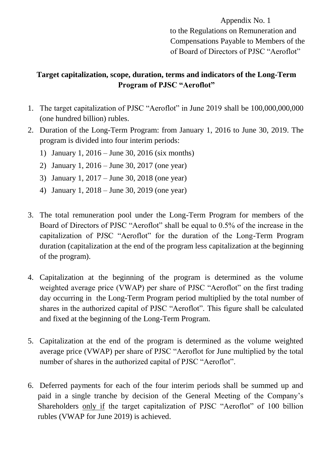Appendix No. 1 to the Regulations on Remuneration and Compensations Payable to Members of the of Board of Directors of PJSC "Aeroflot"

# **Target capitalization, scope, duration, terms and indicators of the Long-Term Program of PJSC "Aeroflot"**

- 1. The target capitalization of PJSC "Aeroflot" in June 2019 shall be 100,000,000,000 (one hundred billion) rubles.
- 2. Duration of the Long-Term Program: from January 1, 2016 to June 30, 2019. The program is divided into four interim periods:
	- 1) January 1, 2016 June 30, 2016 (six months)
	- 2) January 1, 2016 June 30, 2017 (one year)
	- 3) January 1, 2017 June 30, 2018 (one year)
	- 4) January 1, 2018 June 30, 2019 (one year)
- 3. The total remuneration pool under the Long-Term Program for members of the Board of Directors of PJSC "Aeroflot" shall be equal to 0.5% of the increase in the capitalization of PJSC "Aeroflot" for the duration of the Long-Term Program duration (capitalization at the end of the program less capitalization at the beginning of the program).
- 4. Capitalization at the beginning of the program is determined as the volume weighted average price (VWAP) per share of PJSC "Aeroflot" on the first trading day occurring in the Long-Term Program period multiplied by the total number of shares in the authorized capital of PJSC "Aeroflot". This figure shall be calculated and fixed at the beginning of the Long-Term Program.
- 5. Capitalization at the end of the program is determined as the volume weighted average price (VWAP) per share of PJSC "Aeroflot for June multiplied by the total number of shares in the authorized capital of PJSC "Aeroflot".
- 6. Deferred payments for each of the four interim periods shall be summed up and paid in a single tranche by decision of the General Meeting of the Company's Shareholders only if the target capitalization of PJSC "Aeroflot" of 100 billion rubles (VWAP for June 2019) is achieved.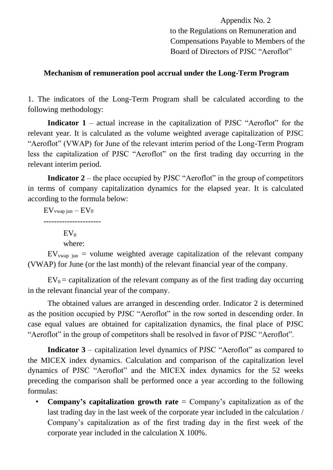Appendix No. 2 to the Regulations on Remuneration and Compensations Payable to Members of the Board of Directors of PJSC "Aeroflot"

#### **Mechanism of remuneration pool accrual under the Long-Term Program**

1. The indicators of the Long-Term Program shall be calculated according to the following methodology:

**Indicator** 1 – actual increase in the capitalization of PJSC "Aeroflot" for the relevant year. It is calculated as the volume weighted average capitalization of PJSC "Aeroflot" (VWAP) for June of the relevant interim period of the Long-Term Program less the capitalization of PJSC "Aeroflot" on the first trading day occurring in the relevant interim period.

**Indicator 2** – the place occupied by PJSC "Aeroflot" in the group of competitors in terms of company capitalization dynamics for the elapsed year. It is calculated according to the formula below:

 $EV$ <sub>vwap jun</sub>  $EV<sub>0</sub>$ ----------------------  $EV_0$ where:

 $EV_{vwan}}$  iun = volume weighted average capitalization of the relevant company (VWAP) for June (or the last month) of the relevant financial year of the company.

 $EV_0$  = capitalization of the relevant company as of the first trading day occurring in the relevant financial year of the company.

The obtained values are arranged in descending order. Indicator 2 is determined as the position occupied by PJSC "Aeroflot" in the row sorted in descending order. In case equal values are obtained for capitalization dynamics, the final place of PJSC "Aeroflot" in the group of competitors shall be resolved in favor of PJSC "Aeroflot".

**Indicator 3** – capitalization level dynamics of PJSC "Aeroflot" as compared to the MICEX index dynamics. Calculation and comparison of the capitalization level dynamics of PJSC "Aeroflot" and the MICEX index dynamics for the 52 weeks preceding the comparison shall be performed once a year according to the following formulas:

• **Company's capitalization growth rate** = Company's capitalization as of the last trading day in the last week of the corporate year included in the calculation / Company's capitalization as of the first trading day in the first week of the corporate year included in the calculation X 100%.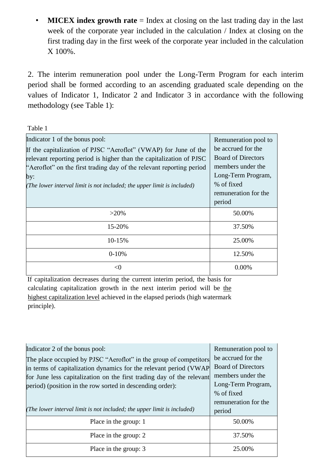• **MICEX** index growth rate = Index at closing on the last trading day in the last week of the corporate year included in the calculation / Index at closing on the first trading day in the first week of the corporate year included in the calculation X 100%.

2. The interim remuneration pool under the Long-Term Program for each interim period shall be formed according to an ascending graduated scale depending on the values of Indicator 1, Indicator 2 and Indicator 3 in accordance with the following methodology (see Table 1):

Table 1

| Indicator 1 of the bonus pool:<br>If the capitalization of PJSC "Aeroflot" (VWAP) for June of the<br>relevant reporting period is higher than the capitalization of PJSC<br>"Aeroflot" on the first trading day of the relevant reporting period<br>by:<br>(The lower interval limit is not included; the upper limit is included) | Remuneration pool to<br>be accrued for the<br><b>Board of Directors</b><br>members under the<br>Long-Term Program,<br>% of fixed<br>remuneration for the<br>period |
|------------------------------------------------------------------------------------------------------------------------------------------------------------------------------------------------------------------------------------------------------------------------------------------------------------------------------------|--------------------------------------------------------------------------------------------------------------------------------------------------------------------|
| $>20\%$                                                                                                                                                                                                                                                                                                                            | 50.00%                                                                                                                                                             |
| 15-20%                                                                                                                                                                                                                                                                                                                             | 37.50%                                                                                                                                                             |
| 10-15%                                                                                                                                                                                                                                                                                                                             | 25.00%                                                                                                                                                             |
| $0-10%$                                                                                                                                                                                                                                                                                                                            | 12.50%                                                                                                                                                             |
| <0                                                                                                                                                                                                                                                                                                                                 | 0.00%                                                                                                                                                              |

If capitalization decreases during the current interim period, the basis for calculating capitalization growth in the next interim period will be the highest capitalization level achieved in the elapsed periods (high watermark principle).

| Indicator 2 of the bonus pool:<br>The place occupied by PJSC "Aeroflot" in the group of competitors<br>in terms of capitalization dynamics for the relevant period (VWAP<br>for June less capitalization on the first trading day of the relevant | Remuneration pool to<br>be accrued for the<br><b>Board of Directors</b><br>members under the<br>Long-Term Program, |
|---------------------------------------------------------------------------------------------------------------------------------------------------------------------------------------------------------------------------------------------------|--------------------------------------------------------------------------------------------------------------------|
| period) (position in the row sorted in descending order):<br>(The lower interval limit is not included; the upper limit is included)                                                                                                              | % of fixed<br>remuneration for the<br>period                                                                       |
| Place in the group: 1                                                                                                                                                                                                                             | 50.00%                                                                                                             |
| Place in the group: 2                                                                                                                                                                                                                             | 37.50%                                                                                                             |
| Place in the group: 3                                                                                                                                                                                                                             | 25.00%                                                                                                             |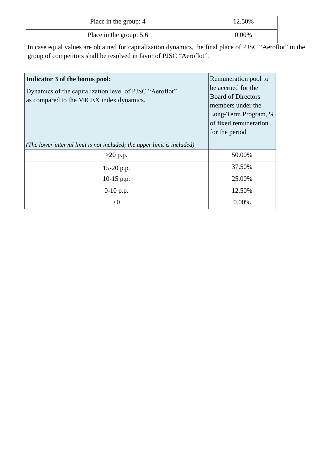| Place in the group: 4   | 12.50%   |
|-------------------------|----------|
| Place in the group: 5.6 | $0.00\%$ |

In case equal values are obtained for capitalization dynamics, the final place of PJSC "Aeroflot" in the group of competitors shall be resolved in favor of PJSC "Aeroflot".

| Indicator 3 of the bonus pool:<br>Dynamics of the capitalization level of PJSC "Aeroflot"<br>as compared to the MICEX index dynamics. | Remuneration pool to<br>be accrued for the<br><b>Board of Directors</b><br>members under the<br>Long-Term Program, %<br>of fixed remuneration<br>for the period |
|---------------------------------------------------------------------------------------------------------------------------------------|-----------------------------------------------------------------------------------------------------------------------------------------------------------------|
| ( <i>The lower interval limit is not included</i> ; the upper limit is included)                                                      |                                                                                                                                                                 |
| $>20$ p.p.                                                                                                                            | 50.00%                                                                                                                                                          |
| 15-20 p.p.                                                                                                                            | 37.50%                                                                                                                                                          |
| $10-15$ p.p.                                                                                                                          | 25.00%                                                                                                                                                          |
| $0-10$ p.p.                                                                                                                           | 12.50%                                                                                                                                                          |
| $\langle$ ()                                                                                                                          | $0.00\%$                                                                                                                                                        |